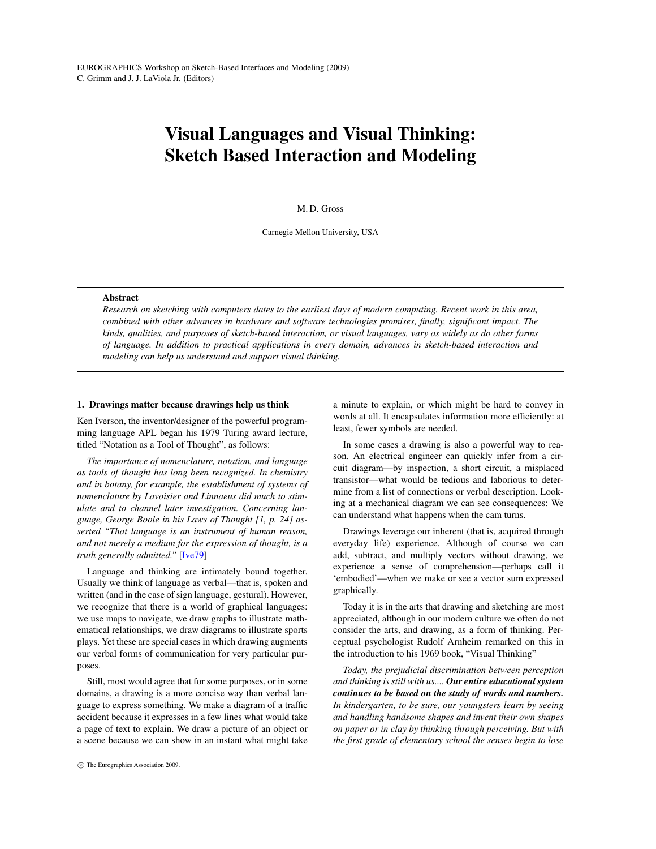# Visual Languages and Visual Thinking: Sketch Based Interaction and Modeling

#### M. D. Gross

Carnegie Mellon University, USA

# Abstract

*Research on sketching with computers dates to the earliest days of modern computing. Recent work in this area, combined with other advances in hardware and software technologies promises, finally, significant impact. The kinds, qualities, and purposes of sketch-based interaction, or visual languages, vary as widely as do other forms of language. In addition to practical applications in every domain, advances in sketch-based interaction and modeling can help us understand and support visual thinking.*

### 1. Drawings matter because drawings help us think

Ken Iverson, the inventor/designer of the powerful programming language APL began his 1979 Turing award lecture, titled "Notation as a Tool of Thought", as follows:

*The importance of nomenclature, notation, and language as tools of thought has long been recognized. In chemistry and in botany, for example, the establishment of systems of nomenclature by Lavoisier and Linnaeus did much to stimulate and to channel later investigation. Concerning language, George Boole in his Laws of Thought [1, p. 24] asserted "That language is an instrument of human reason, and not merely a medium for the expression of thought, is a truth generally admitted."* [\[Ive79\]](#page-4-0)

Language and thinking are intimately bound together. Usually we think of language as verbal—that is, spoken and written (and in the case of sign language, gestural). However, we recognize that there is a world of graphical languages: we use maps to navigate, we draw graphs to illustrate mathematical relationships, we draw diagrams to illustrate sports plays. Yet these are special cases in which drawing augments our verbal forms of communication for very particular purposes.

Still, most would agree that for some purposes, or in some domains, a drawing is a more concise way than verbal language to express something. We make a diagram of a traffic accident because it expresses in a few lines what would take a page of text to explain. We draw a picture of an object or a scene because we can show in an instant what might take

a minute to explain, or which might be hard to convey in words at all. It encapsulates information more efficiently: at least, fewer symbols are needed.

In some cases a drawing is also a powerful way to reason. An electrical engineer can quickly infer from a circuit diagram—by inspection, a short circuit, a misplaced transistor—what would be tedious and laborious to determine from a list of connections or verbal description. Looking at a mechanical diagram we can see consequences: We can understand what happens when the cam turns.

Drawings leverage our inherent (that is, acquired through everyday life) experience. Although of course we can add, subtract, and multiply vectors without drawing, we experience a sense of comprehension—perhaps call it 'embodied'—when we make or see a vector sum expressed graphically.

Today it is in the arts that drawing and sketching are most appreciated, although in our modern culture we often do not consider the arts, and drawing, as a form of thinking. Perceptual psychologist Rudolf Arnheim remarked on this in the introduction to his 1969 book, "Visual Thinking"

*Today, the prejudicial discrimination between perception and thinking is still with us.... Our entire educational system continues to be based on the study of words and numbers. In kindergarten, to be sure, our youngsters learn by seeing and handling handsome shapes and invent their own shapes on paper or in clay by thinking through perceiving. But with the first grade of elementary school the senses begin to lose*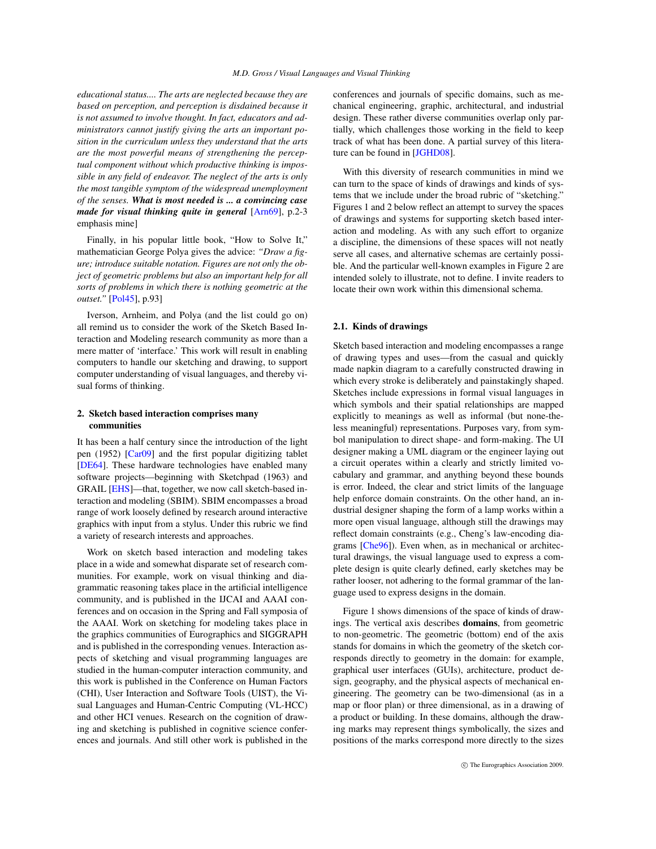*educational status.... The arts are neglected because they are based on perception, and perception is disdained because it is not assumed to involve thought. In fact, educators and administrators cannot justify giving the arts an important position in the curriculum unless they understand that the arts are the most powerful means of strengthening the perceptual component without which productive thinking is impossible in any field of endeavor. The neglect of the arts is only the most tangible symptom of the widespread unemployment of the senses. What is most needed is ... a convincing case made for visual thinking quite in general* [\[Arn69\]](#page-4-1), p.2-3 emphasis mine]

Finally, in his popular little book, "How to Solve It," mathematician George Polya gives the advice: *"Draw a figure; introduce suitable notation. Figures are not only the object of geometric problems but also an important help for all sorts of problems in which there is nothing geometric at the outset."* [\[Pol45\]](#page-4-2), p.93]

Iverson, Arnheim, and Polya (and the list could go on) all remind us to consider the work of the Sketch Based Interaction and Modeling research community as more than a mere matter of 'interface.' This work will result in enabling computers to handle our sketching and drawing, to support computer understanding of visual languages, and thereby visual forms of thinking.

# 2. Sketch based interaction comprises many communities

It has been a half century since the introduction of the light pen (1952) [\[Car09\]](#page-4-3) and the first popular digitizing tablet [\[DE64\]](#page-4-4). These hardware technologies have enabled many software projects—beginning with Sketchpad (1963) and GRAIL [\[EHS\]](#page-4-5)—that, together, we now call sketch-based interaction and modeling (SBIM). SBIM encompasses a broad range of work loosely defined by research around interactive graphics with input from a stylus. Under this rubric we find a variety of research interests and approaches.

Work on sketch based interaction and modeling takes place in a wide and somewhat disparate set of research communities. For example, work on visual thinking and diagrammatic reasoning takes place in the artificial intelligence community, and is published in the IJCAI and AAAI conferences and on occasion in the Spring and Fall symposia of the AAAI. Work on sketching for modeling takes place in the graphics communities of Eurographics and SIGGRAPH and is published in the corresponding venues. Interaction aspects of sketching and visual programming languages are studied in the human-computer interaction community, and this work is published in the Conference on Human Factors (CHI), User Interaction and Software Tools (UIST), the Visual Languages and Human-Centric Computing (VL-HCC) and other HCI venues. Research on the cognition of drawing and sketching is published in cognitive science conferences and journals. And still other work is published in the conferences and journals of specific domains, such as mechanical engineering, graphic, architectural, and industrial design. These rather diverse communities overlap only partially, which challenges those working in the field to keep track of what has been done. A partial survey of this literature can be found in [\[JGHD08\]](#page-4-6).

With this diversity of research communities in mind we can turn to the space of kinds of drawings and kinds of systems that we include under the broad rubric of "sketching." Figures 1 and 2 below reflect an attempt to survey the spaces of drawings and systems for supporting sketch based interaction and modeling. As with any such effort to organize a discipline, the dimensions of these spaces will not neatly serve all cases, and alternative schemas are certainly possible. And the particular well-known examples in Figure 2 are intended solely to illustrate, not to define. I invite readers to locate their own work within this dimensional schema.

# 2.1. Kinds of drawings

Sketch based interaction and modeling encompasses a range of drawing types and uses—from the casual and quickly made napkin diagram to a carefully constructed drawing in which every stroke is deliberately and painstakingly shaped. Sketches include expressions in formal visual languages in which symbols and their spatial relationships are mapped explicitly to meanings as well as informal (but none-theless meaningful) representations. Purposes vary, from symbol manipulation to direct shape- and form-making. The UI designer making a UML diagram or the engineer laying out a circuit operates within a clearly and strictly limited vocabulary and grammar, and anything beyond these bounds is error. Indeed, the clear and strict limits of the language help enforce domain constraints. On the other hand, an industrial designer shaping the form of a lamp works within a more open visual language, although still the drawings may reflect domain constraints (e.g., Cheng's law-encoding diagrams [\[Che96\]](#page-4-7)). Even when, as in mechanical or architectural drawings, the visual language used to express a complete design is quite clearly defined, early sketches may be rather looser, not adhering to the formal grammar of the language used to express designs in the domain.

Figure 1 shows dimensions of the space of kinds of drawings. The vertical axis describes domains, from geometric to non-geometric. The geometric (bottom) end of the axis stands for domains in which the geometry of the sketch corresponds directly to geometry in the domain: for example, graphical user interfaces (GUIs), architecture, product design, geography, and the physical aspects of mechanical engineering. The geometry can be two-dimensional (as in a map or floor plan) or three dimensional, as in a drawing of a product or building. In these domains, although the drawing marks may represent things symbolically, the sizes and positions of the marks correspond more directly to the sizes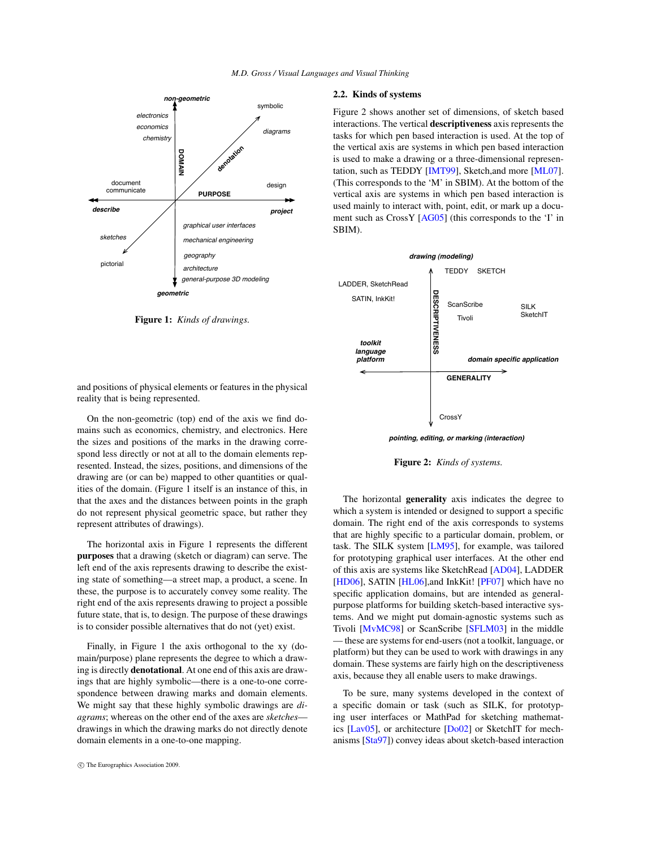

Figure 1: *Kinds of drawings.*

and positions of physical elements or features in the physical reality that is being represented.

On the non-geometric (top) end of the axis we find domains such as economics, chemistry, and electronics. Here the sizes and positions of the marks in the drawing correspond less directly or not at all to the domain elements represented. Instead, the sizes, positions, and dimensions of the drawing are (or can be) mapped to other quantities or qualities of the domain. (Figure 1 itself is an instance of this, in that the axes and the distances between points in the graph do not represent physical geometric space, but rather they represent attributes of drawings).

The horizontal axis in Figure 1 represents the different purposes that a drawing (sketch or diagram) can serve. The left end of the axis represents drawing to describe the existing state of something—a street map, a product, a scene. In these, the purpose is to accurately convey some reality. The right end of the axis represents drawing to project a possible future state, that is, to design. The purpose of these drawings is to consider possible alternatives that do not (yet) exist.

Finally, in Figure 1 the axis orthogonal to the xy (domain/purpose) plane represents the degree to which a drawing is directly denotational. At one end of this axis are drawings that are highly symbolic—there is a one-to-one correspondence between drawing marks and domain elements. We might say that these highly symbolic drawings are *diagrams*; whereas on the other end of the axes are *sketches* drawings in which the drawing marks do not directly denote domain elements in a one-to-one mapping.

#### 2.2. Kinds of systems

Figure 2 shows another set of dimensions, of sketch based interactions. The vertical descriptiveness axis represents the tasks for which pen based interaction is used. At the top of the vertical axis are systems in which pen based interaction is used to make a drawing or a three-dimensional representation, such as TEDDY [\[IMT99\]](#page-4-8), Sketch,and more [\[ML07\]](#page-4-9). (This corresponds to the 'M' in SBIM). At the bottom of the vertical axis are systems in which pen based interaction is used mainly to interact with, point, edit, or mark up a document such as CrossY [\[AG05\]](#page-4-10) (this corresponds to the 'I' in SBIM).



*pointing, editing, or marking (interaction)*

Figure 2: *Kinds of systems.*

The horizontal generality axis indicates the degree to which a system is intended or designed to support a specific domain. The right end of the axis corresponds to systems that are highly specific to a particular domain, problem, or task. The SILK system [\[LM95\]](#page-4-11), for example, was tailored for prototyping graphical user interfaces. At the other end of this axis are systems like SketchRead [\[AD04\]](#page-4-12), LADDER [\[HD06\]](#page-4-13), SATIN [\[HL06\]](#page-4-14), and InkKit! [\[PF07\]](#page-4-15) which have no specific application domains, but are intended as generalpurpose platforms for building sketch-based interactive systems. And we might put domain-agnostic systems such as Tivoli [\[MvMC98\]](#page-4-16) or ScanScribe [\[SFLM03\]](#page-4-17) in the middle — these are systems for end-users (not a toolkit, language, or platform) but they can be used to work with drawings in any domain. These systems are fairly high on the descriptiveness axis, because they all enable users to make drawings.

To be sure, many systems developed in the context of a specific domain or task (such as SILK, for prototyping user interfaces or MathPad for sketching mathematics [\[Lav05\]](#page-4-18), or architecture [\[Do02\]](#page-4-19) or SketchIT for mechanisms [\[Sta97\]](#page-4-20)) convey ideas about sketch-based interaction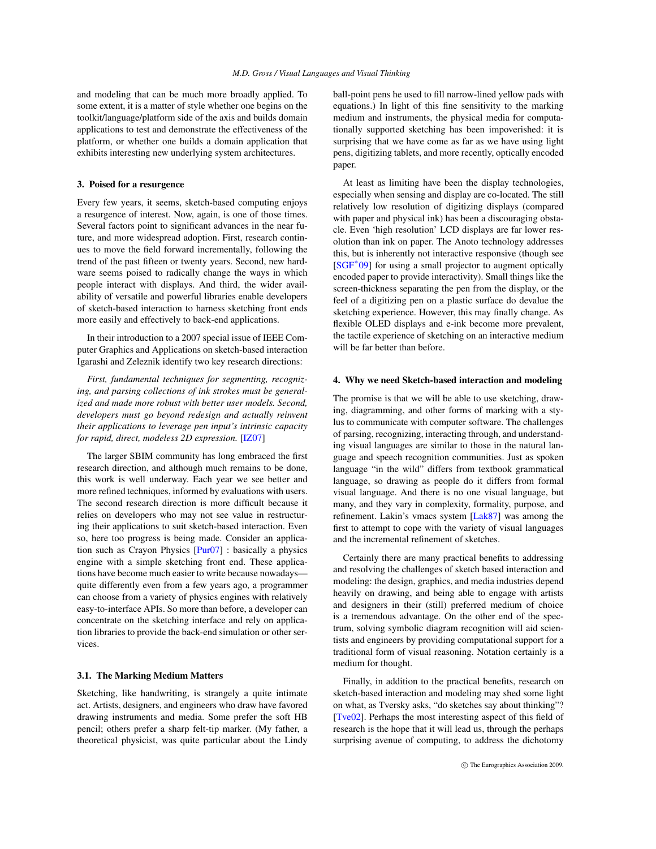and modeling that can be much more broadly applied. To some extent, it is a matter of style whether one begins on the toolkit/language/platform side of the axis and builds domain applications to test and demonstrate the effectiveness of the platform, or whether one builds a domain application that exhibits interesting new underlying system architectures.

# 3. Poised for a resurgence

Every few years, it seems, sketch-based computing enjoys a resurgence of interest. Now, again, is one of those times. Several factors point to significant advances in the near future, and more widespread adoption. First, research continues to move the field forward incrementally, following the trend of the past fifteen or twenty years. Second, new hardware seems poised to radically change the ways in which people interact with displays. And third, the wider availability of versatile and powerful libraries enable developers of sketch-based interaction to harness sketching front ends more easily and effectively to back-end applications.

In their introduction to a 2007 special issue of IEEE Computer Graphics and Applications on sketch-based interaction Igarashi and Zeleznik identify two key research directions:

*First, fundamental techniques for segmenting, recognizing, and parsing collections of ink strokes must be generalized and made more robust with better user models. Second, developers must go beyond redesign and actually reinvent their applications to leverage pen input's intrinsic capacity for rapid, direct, modeless 2D expression.* [\[IZ07\]](#page-4-21)

The larger SBIM community has long embraced the first research direction, and although much remains to be done, this work is well underway. Each year we see better and more refined techniques, informed by evaluations with users. The second research direction is more difficult because it relies on developers who may not see value in restructuring their applications to suit sketch-based interaction. Even so, here too progress is being made. Consider an application such as Crayon Physics [\[Pur07\]](#page-4-22) : basically a physics engine with a simple sketching front end. These applications have become much easier to write because nowadays quite differently even from a few years ago, a programmer can choose from a variety of physics engines with relatively easy-to-interface APIs. So more than before, a developer can concentrate on the sketching interface and rely on application libraries to provide the back-end simulation or other services.

#### 3.1. The Marking Medium Matters

Sketching, like handwriting, is strangely a quite intimate act. Artists, designers, and engineers who draw have favored drawing instruments and media. Some prefer the soft HB pencil; others prefer a sharp felt-tip marker. (My father, a theoretical physicist, was quite particular about the Lindy ball-point pens he used to fill narrow-lined yellow pads with equations.) In light of this fine sensitivity to the marking medium and instruments, the physical media for computationally supported sketching has been impoverished: it is surprising that we have come as far as we have using light pens, digitizing tablets, and more recently, optically encoded paper.

At least as limiting have been the display technologies, especially when sensing and display are co-located. The still relatively low resolution of digitizing displays (compared with paper and physical ink) has been a discouraging obstacle. Even 'high resolution' LCD displays are far lower resolution than ink on paper. The Anoto technology addresses this, but is inherently not interactive responsive (though see [\[SGF](#page-4-23)<sup>\*09]</sup> for using a small projector to augment optically encoded paper to provide interactivity). Small things like the screen-thickness separating the pen from the display, or the feel of a digitizing pen on a plastic surface do devalue the sketching experience. However, this may finally change. As flexible OLED displays and e-ink become more prevalent, the tactile experience of sketching on an interactive medium will be far better than before.

#### 4. Why we need Sketch-based interaction and modeling

The promise is that we will be able to use sketching, drawing, diagramming, and other forms of marking with a stylus to communicate with computer software. The challenges of parsing, recognizing, interacting through, and understanding visual languages are similar to those in the natural language and speech recognition communities. Just as spoken language "in the wild" differs from textbook grammatical language, so drawing as people do it differs from formal visual language. And there is no one visual language, but many, and they vary in complexity, formality, purpose, and refinement. Lakin's vmacs system [\[Lak87\]](#page-4-24) was among the first to attempt to cope with the variety of visual languages and the incremental refinement of sketches.

Certainly there are many practical benefits to addressing and resolving the challenges of sketch based interaction and modeling: the design, graphics, and media industries depend heavily on drawing, and being able to engage with artists and designers in their (still) preferred medium of choice is a tremendous advantage. On the other end of the spectrum, solving symbolic diagram recognition will aid scientists and engineers by providing computational support for a traditional form of visual reasoning. Notation certainly is a medium for thought.

Finally, in addition to the practical benefits, research on sketch-based interaction and modeling may shed some light on what, as Tversky asks, "do sketches say about thinking"? [\[Tve02\]](#page-4-25). Perhaps the most interesting aspect of this field of research is the hope that it will lead us, through the perhaps surprising avenue of computing, to address the dichotomy